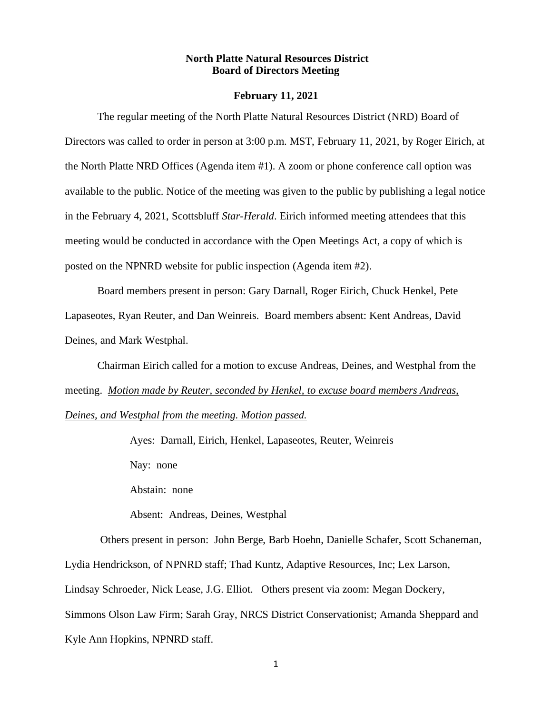#### **North Platte Natural Resources District Board of Directors Meeting**

#### **February 11, 2021**

The regular meeting of the North Platte Natural Resources District (NRD) Board of Directors was called to order in person at 3:00 p.m. MST, February 11, 2021, by Roger Eirich, at the North Platte NRD Offices (Agenda item #1). A zoom or phone conference call option was available to the public. Notice of the meeting was given to the public by publishing a legal notice in the February 4, 2021, Scottsbluff *Star-Herald*. Eirich informed meeting attendees that this meeting would be conducted in accordance with the Open Meetings Act, a copy of which is posted on the NPNRD website for public inspection (Agenda item #2).

Board members present in person: Gary Darnall, Roger Eirich, Chuck Henkel, Pete Lapaseotes, Ryan Reuter, and Dan Weinreis. Board members absent: Kent Andreas, David Deines, and Mark Westphal.

Chairman Eirich called for a motion to excuse Andreas, Deines, and Westphal from the meeting. *Motion made by Reuter, seconded by Henkel, to excuse board members Andreas, Deines, and Westphal from the meeting. Motion passed.*

Ayes: Darnall, Eirich, Henkel, Lapaseotes, Reuter, Weinreis

Nay: none

Abstain: none

Absent: Andreas, Deines, Westphal

Others present in person: John Berge, Barb Hoehn, Danielle Schafer, Scott Schaneman, Lydia Hendrickson, of NPNRD staff; Thad Kuntz, Adaptive Resources, Inc; Lex Larson, Lindsay Schroeder, Nick Lease, J.G. Elliot. Others present via zoom: Megan Dockery, Simmons Olson Law Firm; Sarah Gray, NRCS District Conservationist; Amanda Sheppard and Kyle Ann Hopkins, NPNRD staff.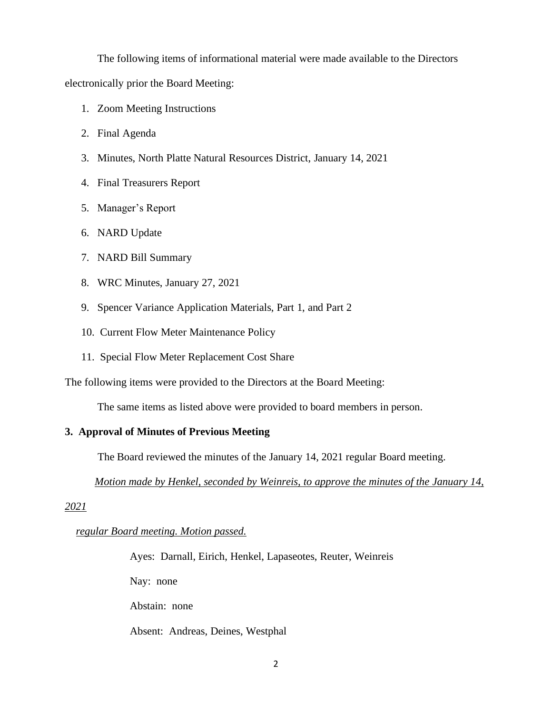The following items of informational material were made available to the Directors

electronically prior the Board Meeting:

- 1. Zoom Meeting Instructions
- 2. Final Agenda
- 3. Minutes, North Platte Natural Resources District, January 14, 2021
- 4. Final Treasurers Report
- 5. Manager's Report
- 6. NARD Update
- 7. NARD Bill Summary
- 8. WRC Minutes, January 27, 2021
- 9. Spencer Variance Application Materials, Part 1, and Part 2
- 10. Current Flow Meter Maintenance Policy
- 11. Special Flow Meter Replacement Cost Share

The following items were provided to the Directors at the Board Meeting:

The same items as listed above were provided to board members in person.

## **3. Approval of Minutes of Previous Meeting**

The Board reviewed the minutes of the January 14, 2021 regular Board meeting.

 *Motion made by Henkel, seconded by Weinreis, to approve the minutes of the January 14,* 

*2021* 

 *regular Board meeting. Motion passed.*

Ayes: Darnall, Eirich, Henkel, Lapaseotes, Reuter, Weinreis

Nay: none

Abstain: none

Absent: Andreas, Deines, Westphal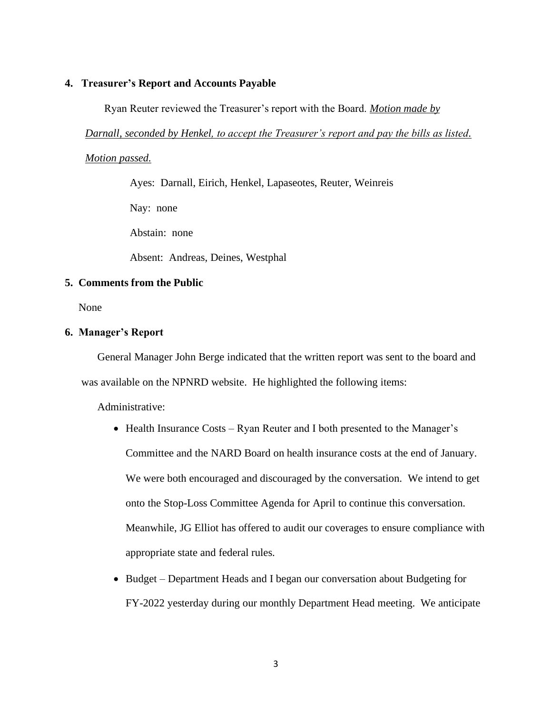#### **4. Treasurer's Report and Accounts Payable**

Ryan Reuter reviewed the Treasurer's report with the Board. *Motion made by* 

*Darnall, seconded by Henkel, to accept the Treasurer's report and pay the bills as listed.* 

*Motion passed.*

Ayes: Darnall, Eirich, Henkel, Lapaseotes, Reuter, Weinreis

Nay: none

Abstain: none

Absent: Andreas, Deines, Westphal

## **5. Comments from the Public**

None

#### **6. Manager's Report**

General Manager John Berge indicated that the written report was sent to the board and was available on the NPNRD website. He highlighted the following items:

Administrative:

- Health Insurance Costs Ryan Reuter and I both presented to the Manager's Committee and the NARD Board on health insurance costs at the end of January. We were both encouraged and discouraged by the conversation. We intend to get onto the Stop-Loss Committee Agenda for April to continue this conversation. Meanwhile, JG Elliot has offered to audit our coverages to ensure compliance with appropriate state and federal rules.
- Budget Department Heads and I began our conversation about Budgeting for FY-2022 yesterday during our monthly Department Head meeting. We anticipate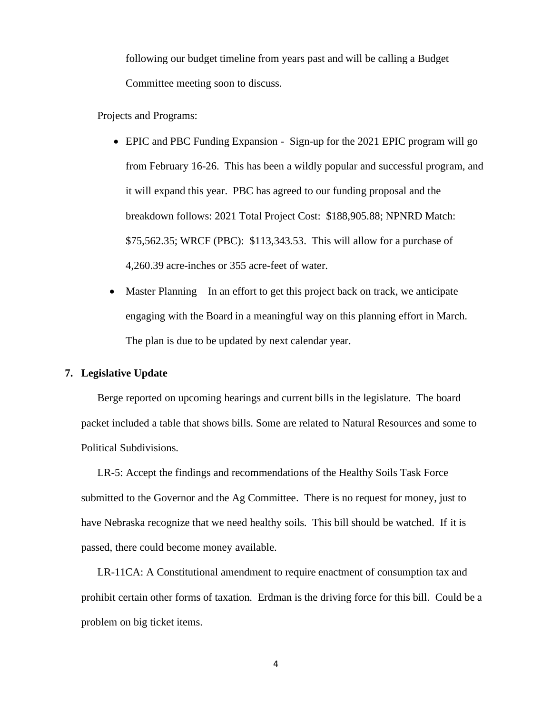following our budget timeline from years past and will be calling a Budget Committee meeting soon to discuss.

Projects and Programs:

- EPIC and PBC Funding Expansion Sign-up for the 2021 EPIC program will go from February 16-26. This has been a wildly popular and successful program, and it will expand this year. PBC has agreed to our funding proposal and the breakdown follows: 2021 Total Project Cost: \$188,905.88; NPNRD Match: \$75,562.35; WRCF (PBC): \$113,343.53. This will allow for a purchase of 4,260.39 acre-inches or 355 acre-feet of water.
- Master Planning In an effort to get this project back on track, we anticipate engaging with the Board in a meaningful way on this planning effort in March. The plan is due to be updated by next calendar year.

## **7. Legislative Update**

Berge reported on upcoming hearings and current bills in the legislature. The board packet included a table that shows bills. Some are related to Natural Resources and some to Political Subdivisions.

LR-5: Accept the findings and recommendations of the Healthy Soils Task Force submitted to the Governor and the Ag Committee. There is no request for money, just to have Nebraska recognize that we need healthy soils. This bill should be watched. If it is passed, there could become money available.

LR-11CA: A Constitutional amendment to require enactment of consumption tax and prohibit certain other forms of taxation. Erdman is the driving force for this bill. Could be a problem on big ticket items.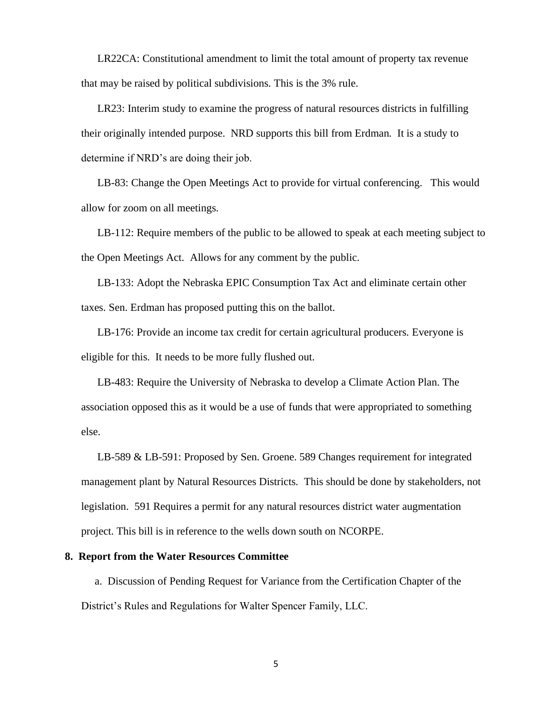LR22CA: Constitutional amendment to limit the total amount of property tax revenue that may be raised by political subdivisions. This is the 3% rule.

LR23: Interim study to examine the progress of natural resources districts in fulfilling their originally intended purpose. NRD supports this bill from Erdman. It is a study to determine if NRD's are doing their job.

LB-83: Change the Open Meetings Act to provide for virtual conferencing. This would allow for zoom on all meetings.

LB-112: Require members of the public to be allowed to speak at each meeting subject to the Open Meetings Act. Allows for any comment by the public.

LB-133: Adopt the Nebraska EPIC Consumption Tax Act and eliminate certain other taxes. Sen. Erdman has proposed putting this on the ballot.

LB-176: Provide an income tax credit for certain agricultural producers. Everyone is eligible for this. It needs to be more fully flushed out.

LB-483: Require the University of Nebraska to develop a Climate Action Plan. The association opposed this as it would be a use of funds that were appropriated to something else.

LB-589 & LB-591: Proposed by Sen. Groene. 589 Changes requirement for integrated management plant by Natural Resources Districts. This should be done by stakeholders, not legislation. 591 Requires a permit for any natural resources district water augmentation project. This bill is in reference to the wells down south on NCORPE.

#### **8. Report from the Water Resources Committee**

 a.Discussion of Pending Request for Variance from the Certification Chapter of the District's Rules and Regulations for Walter Spencer Family, LLC.

5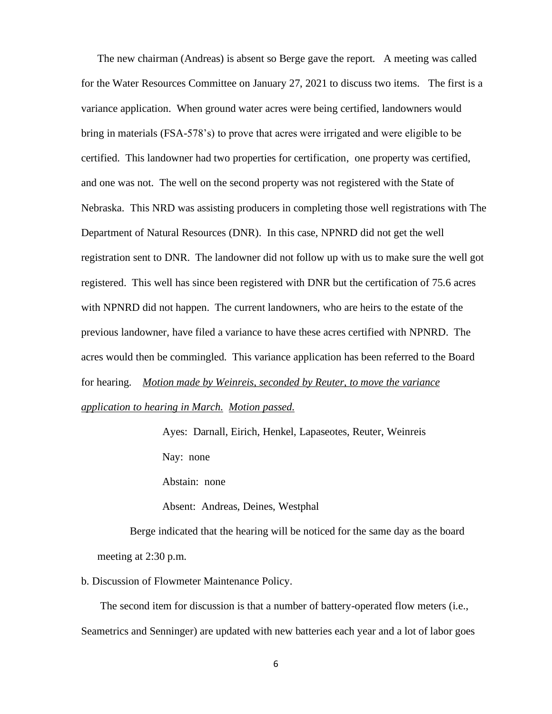The new chairman (Andreas) is absent so Berge gave the report. A meeting was called for the Water Resources Committee on January 27, 2021 to discuss two items. The first is a variance application. When ground water acres were being certified, landowners would bring in materials (FSA-578's) to prove that acres were irrigated and were eligible to be certified. This landowner had two properties for certification, one property was certified, and one was not. The well on the second property was not registered with the State of Nebraska. This NRD was assisting producers in completing those well registrations with The Department of Natural Resources (DNR). In this case, NPNRD did not get the well registration sent to DNR. The landowner did not follow up with us to make sure the well got registered. This well has since been registered with DNR but the certification of 75.6 acres with NPNRD did not happen. The current landowners, who are heirs to the estate of the previous landowner, have filed a variance to have these acres certified with NPNRD. The acres would then be commingled. This variance application has been referred to the Board for hearing. *Motion made by Weinreis, seconded by Reuter, to move the variance application to hearing in March. Motion passed.*

> Ayes: Darnall, Eirich, Henkel, Lapaseotes, Reuter, Weinreis Nay: none

Abstain: none

Absent: Andreas, Deines, Westphal

Berge indicated that the hearing will be noticed for the same day as the board meeting at 2:30 p.m.

b. Discussion of Flowmeter Maintenance Policy.

 The second item for discussion is that a number of battery-operated flow meters (i.e., Seametrics and Senninger) are updated with new batteries each year and a lot of labor goes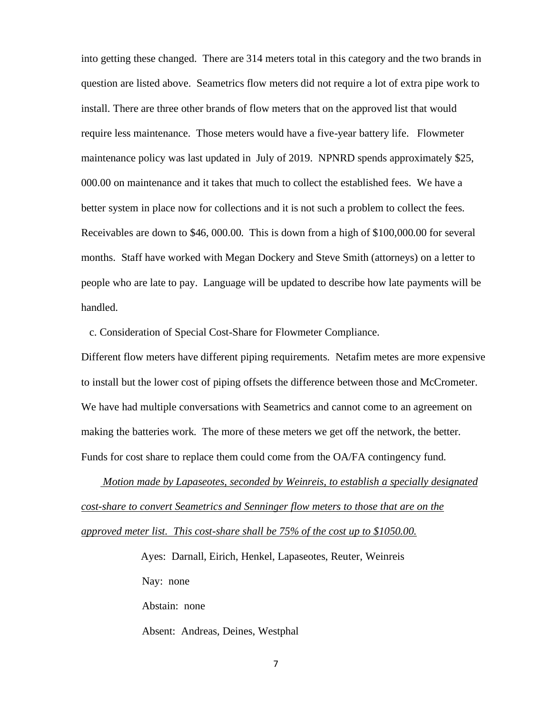into getting these changed. There are 314 meters total in this category and the two brands in question are listed above. Seametrics flow meters did not require a lot of extra pipe work to install. There are three other brands of flow meters that on the approved list that would require less maintenance. Those meters would have a five-year battery life. Flowmeter maintenance policy was last updated in July of 2019. NPNRD spends approximately \$25, 000.00 on maintenance and it takes that much to collect the established fees. We have a better system in place now for collections and it is not such a problem to collect the fees. Receivables are down to \$46, 000.00. This is down from a high of \$100,000.00 for several months. Staff have worked with Megan Dockery and Steve Smith (attorneys) on a letter to people who are late to pay. Language will be updated to describe how late payments will be handled.

c. Consideration of Special Cost-Share for Flowmeter Compliance.

Different flow meters have different piping requirements. Netafim metes are more expensive to install but the lower cost of piping offsets the difference between those and McCrometer. We have had multiple conversations with Seametrics and cannot come to an agreement on making the batteries work. The more of these meters we get off the network, the better. Funds for cost share to replace them could come from the OA/FA contingency fund.

 *Motion made by Lapaseotes, seconded by Weinreis, to establish a specially designated cost-share to convert Seametrics and Senninger flow meters to those that are on the approved meter list. This cost-share shall be 75% of the cost up to \$1050.00.* 

> Ayes: Darnall, Eirich, Henkel, Lapaseotes, Reuter, Weinreis Nay: none Abstain: none

Absent: Andreas, Deines, Westphal